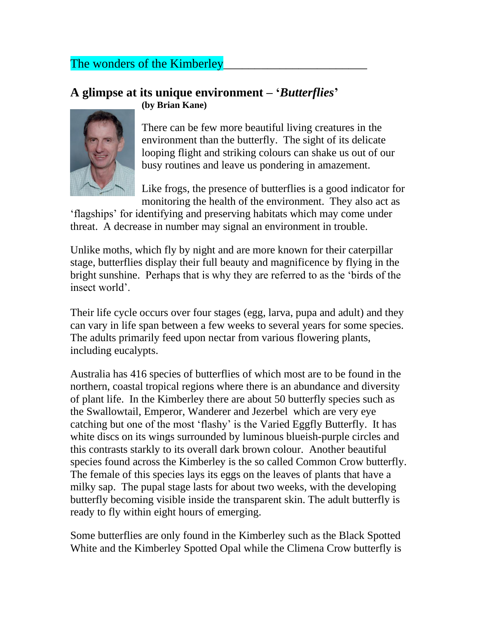## The wonders of the Kimberley

## **A glimpse at its unique environment – '***Butterflies***' (by Brian Kane)**



There can be few more beautiful living creatures in the environment than the butterfly. The sight of its delicate looping flight and striking colours can shake us out of our busy routines and leave us pondering in amazement.

Like frogs, the presence of butterflies is a good indicator for monitoring the health of the environment. They also act as

'flagships' for identifying and preserving habitats which may come under threat. A decrease in number may signal an environment in trouble.

Unlike moths, which fly by night and are more known for their caterpillar stage, butterflies display their full beauty and magnificence by flying in the bright sunshine. Perhaps that is why they are referred to as the 'birds of the insect world'.

Their life cycle occurs over four stages (egg, larva, pupa and adult) and they can vary in life span between a few weeks to several years for some species. The adults primarily feed upon nectar from various flowering plants, including eucalypts.

Australia has 416 species of butterflies of which most are to be found in the northern, coastal tropical regions where there is an abundance and diversity of plant life. In the Kimberley there are about 50 butterfly species such as the Swallowtail, Emperor, Wanderer and Jezerbel which are very eye catching but one of the most 'flashy' is the Varied Eggfly Butterfly. It has white discs on its wings surrounded by luminous blueish-purple circles and this contrasts starkly to its overall dark brown colour. Another beautiful species found across the Kimberley is the so called Common Crow butterfly. The female of this species lays its eggs on the leaves of plants that have a milky sap. The pupal stage lasts for about two weeks, with the developing butterfly becoming visible inside the transparent skin. The adult butterfly is ready to fly within eight hours of emerging.

Some butterflies are only found in the Kimberley such as the Black Spotted White and the Kimberley Spotted Opal while the Climena Crow butterfly is